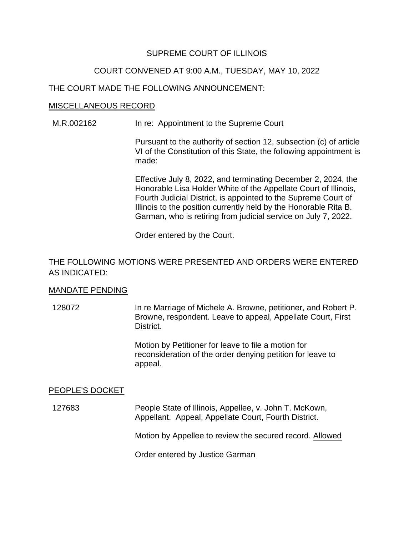### SUPREME COURT OF ILLINOIS

### COURT CONVENED AT 9:00 A.M., TUESDAY, MAY 10, 2022

#### THE COURT MADE THE FOLLOWING ANNOUNCEMENT:

#### MISCELLANEOUS RECORD

M.R.002162 In re: Appointment to the Supreme Court

Pursuant to the authority of section 12, subsection (c) of article VI of the Constitution of this State, the following appointment is made:

 Effective July 8, 2022, and terminating December 2, 2024, the Honorable Lisa Holder White of the Appellate Court of Illinois, Fourth Judicial District, is appointed to the Supreme Court of Garman, who is retiring from judicial service on July 7, 2022. Illinois to the position currently held by the Honorable Rita B.

Order entered by the Court.

## THE FOLLOWING MOTIONS WERE PRESENTED AND ORDERS WERE ENTERED AS INDICATED:

#### MANDATE PENDING

 Browne, respondent. Leave to appeal, Appellate Court, First 128072 In re Marriage of Michele A. Browne, petitioner, and Robert P. District.

> reconsideration of the order denying petition for leave to Motion by Petitioner for leave to file a motion for appeal.

#### PEOPLE'S DOCKET

127683 People State of Illinois, Appellee, v. John T. McKown, Appellant. Appeal, Appellate Court, Fourth District.

Motion by Appellee to review the secured record. Allowed

Order entered by Justice Garman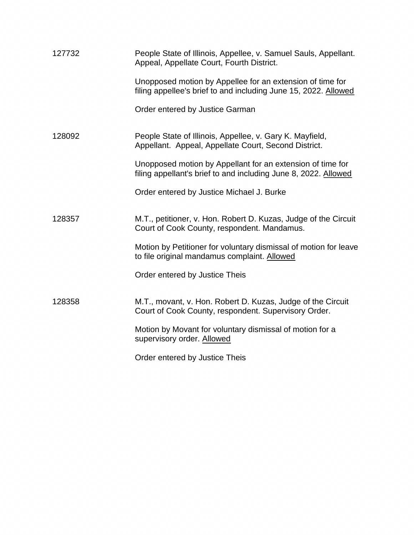| 127732 | People State of Illinois, Appellee, v. Samuel Sauls, Appellant.<br>Appeal, Appellate Court, Fourth District.                  |
|--------|-------------------------------------------------------------------------------------------------------------------------------|
|        | Unopposed motion by Appellee for an extension of time for<br>filing appellee's brief to and including June 15, 2022. Allowed  |
|        | Order entered by Justice Garman                                                                                               |
| 128092 | People State of Illinois, Appellee, v. Gary K. Mayfield,<br>Appellant. Appeal, Appellate Court, Second District.              |
|        | Unopposed motion by Appellant for an extension of time for<br>filing appellant's brief to and including June 8, 2022. Allowed |
|        | Order entered by Justice Michael J. Burke                                                                                     |
| 128357 | M.T., petitioner, v. Hon. Robert D. Kuzas, Judge of the Circuit<br>Court of Cook County, respondent. Mandamus.                |
|        | Motion by Petitioner for voluntary dismissal of motion for leave<br>to file original mandamus complaint. Allowed              |
|        | Order entered by Justice Theis                                                                                                |
| 128358 | M.T., movant, v. Hon. Robert D. Kuzas, Judge of the Circuit<br>Court of Cook County, respondent. Supervisory Order.           |
|        | Motion by Movant for voluntary dismissal of motion for a<br>supervisory order. Allowed                                        |
|        | Order entered by Justice Theis                                                                                                |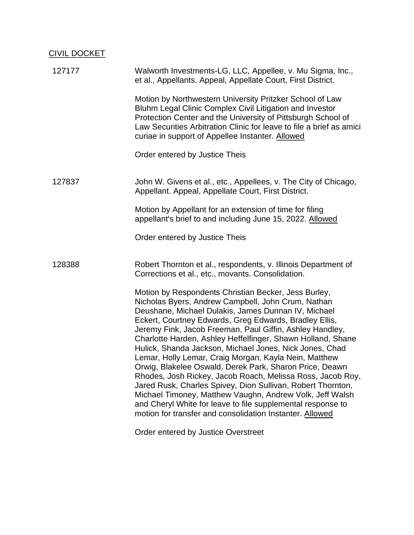# CIVIL DOCKET

| 127177 | Walworth Investments-LG, LLC, Appellee, v. Mu Sigma, Inc.,<br>et al., Appellants. Appeal, Appellate Court, First District.                                                                                                                                                                                                                                                                                                                                                                                                                                                                                                                                                                                                                                                                                                                                |
|--------|-----------------------------------------------------------------------------------------------------------------------------------------------------------------------------------------------------------------------------------------------------------------------------------------------------------------------------------------------------------------------------------------------------------------------------------------------------------------------------------------------------------------------------------------------------------------------------------------------------------------------------------------------------------------------------------------------------------------------------------------------------------------------------------------------------------------------------------------------------------|
|        | Motion by Northwestern University Pritzker School of Law<br>Bluhm Legal Clinic Complex Civil Litigation and Investor<br>Protection Center and the University of Pittsburgh School of<br>Law Securities Arbitration Clinic for leave to file a brief as amici<br>curiae in support of Appellee Instanter. Allowed                                                                                                                                                                                                                                                                                                                                                                                                                                                                                                                                          |
|        | Order entered by Justice Theis                                                                                                                                                                                                                                                                                                                                                                                                                                                                                                                                                                                                                                                                                                                                                                                                                            |
| 127837 | John W. Givens et al., etc., Appellees, v. The City of Chicago,<br>Appellant. Appeal, Appellate Court, First District.                                                                                                                                                                                                                                                                                                                                                                                                                                                                                                                                                                                                                                                                                                                                    |
|        | Motion by Appellant for an extension of time for filing<br>appellant's brief to and including June 15, 2022. Allowed                                                                                                                                                                                                                                                                                                                                                                                                                                                                                                                                                                                                                                                                                                                                      |
|        | Order entered by Justice Theis                                                                                                                                                                                                                                                                                                                                                                                                                                                                                                                                                                                                                                                                                                                                                                                                                            |
| 128388 | Robert Thornton et al., respondents, v. Illinois Department of<br>Corrections et al., etc., movants. Consolidation.                                                                                                                                                                                                                                                                                                                                                                                                                                                                                                                                                                                                                                                                                                                                       |
|        | Motion by Respondents Christian Becker, Jess Burley,<br>Nicholas Byers, Andrew Campbell, John Crum, Nathan<br>Deushane, Michael Dulakis, James Dunnan IV, Michael<br>Eckert, Courtney Edwards, Greg Edwards, Bradley Ellis,<br>Jeremy Fink, Jacob Freeman, Paul Giffin, Ashley Handley,<br>Charlotte Harden, Ashley Heffelfinger, Shawn Holland, Shane<br>Hulick, Shanda Jackson, Michael Jones, Nick Jones, Chad<br>Lemar, Holly Lemar, Craig Morgan, Kayla Nein, Matthew<br>Orwig, Blakelee Oswald, Derek Park, Sharon Price, Deawn<br>Rhodes, Josh Rickey, Jacob Roach, Melissa Ross, Jacob Roy,<br>Jared Rusk, Charles Spivey, Dion Sullivan, Robert Thornton,<br>Michael Timoney, Matthew Vaughn, Andrew Volk, Jeff Walsh<br>and Cheryl White for leave to file supplemental response to<br>motion for transfer and consolidation Instanter. Allowed |

Order entered by Justice Overstreet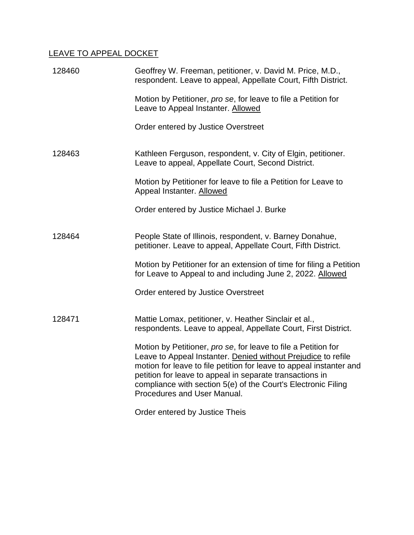# LEAVE TO APPEAL DOCKET

| 128460 | Geoffrey W. Freeman, petitioner, v. David M. Price, M.D.,<br>respondent. Leave to appeal, Appellate Court, Fifth District.                                                                                                                                                                                                                                         |
|--------|--------------------------------------------------------------------------------------------------------------------------------------------------------------------------------------------------------------------------------------------------------------------------------------------------------------------------------------------------------------------|
|        | Motion by Petitioner, pro se, for leave to file a Petition for<br>Leave to Appeal Instanter. Allowed                                                                                                                                                                                                                                                               |
|        | Order entered by Justice Overstreet                                                                                                                                                                                                                                                                                                                                |
| 128463 | Kathleen Ferguson, respondent, v. City of Elgin, petitioner.<br>Leave to appeal, Appellate Court, Second District.                                                                                                                                                                                                                                                 |
|        | Motion by Petitioner for leave to file a Petition for Leave to<br>Appeal Instanter. Allowed                                                                                                                                                                                                                                                                        |
|        | Order entered by Justice Michael J. Burke                                                                                                                                                                                                                                                                                                                          |
| 128464 | People State of Illinois, respondent, v. Barney Donahue,<br>petitioner. Leave to appeal, Appellate Court, Fifth District.                                                                                                                                                                                                                                          |
|        | Motion by Petitioner for an extension of time for filing a Petition<br>for Leave to Appeal to and including June 2, 2022. Allowed                                                                                                                                                                                                                                  |
|        | Order entered by Justice Overstreet                                                                                                                                                                                                                                                                                                                                |
| 128471 | Mattie Lomax, petitioner, v. Heather Sinclair et al.,<br>respondents. Leave to appeal, Appellate Court, First District.                                                                                                                                                                                                                                            |
|        | Motion by Petitioner, pro se, for leave to file a Petition for<br>Leave to Appeal Instanter. Denied without Prejudice to refile<br>motion for leave to file petition for leave to appeal instanter and<br>petition for leave to appeal in separate transactions in<br>compliance with section 5(e) of the Court's Electronic Filing<br>Procedures and User Manual. |
|        |                                                                                                                                                                                                                                                                                                                                                                    |

Order entered by Justice Theis